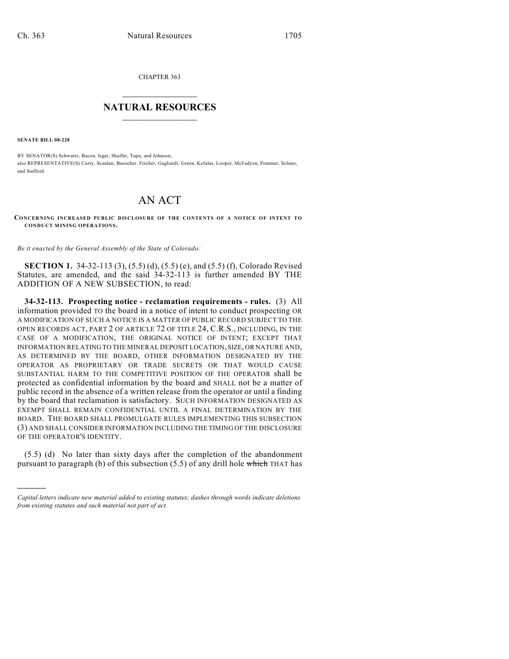CHAPTER 363

## $\overline{\phantom{a}}$  . The set of the set of the set of the set of the set of the set of the set of the set of the set of the set of the set of the set of the set of the set of the set of the set of the set of the set of the set o **NATURAL RESOURCES**  $\frac{1}{\sqrt{2}}$  , where  $\frac{1}{\sqrt{2}}$  ,  $\frac{1}{\sqrt{2}}$  ,  $\frac{1}{\sqrt{2}}$

**SENATE BILL 08-228**

)))))

BY SENATOR(S) Schwartz, Bacon, Isgar, Shaffer, Tupa, and Johnson; also REPRESENTATIVE(S) Curry, Scanlan, Buescher, Fischer, Gagliardi, Green, Kefalas, Looper, McFadyen, Pommer, Solano, and Stafford.

## AN ACT

**CONCERNING INCREASED PUBLIC DISCLOSURE OF THE CONTENTS OF A NOTICE OF INTENT TO CONDUCT MINING OPERATIONS.**

*Be it enacted by the General Assembly of the State of Colorado:*

**SECTION 1.** 34-32-113 (3), (5.5) (d), (5.5) (e), and (5.5) (f), Colorado Revised Statutes, are amended, and the said 34-32-113 is further amended BY THE ADDITION OF A NEW SUBSECTION, to read:

**34-32-113. Prospecting notice - reclamation requirements - rules.** (3) All information provided TO the board in a notice of intent to conduct prospecting OR A MODIFICATION OF SUCH A NOTICE IS A MATTER OF PUBLIC RECORD SUBJECT TO THE OPEN RECORDS ACT, PART 2 OF ARTICLE 72 OF TITLE 24, C.R.S., INCLUDING, IN THE CASE OF A MODIFICATION, THE ORIGINAL NOTICE OF INTENT; EXCEPT THAT INFORMATION RELATING TO THE MINERAL DEPOSIT LOCATION, SIZE, OR NATURE AND, AS DETERMINED BY THE BOARD, OTHER INFORMATION DESIGNATED BY THE OPERATOR AS PROPRIETARY OR TRADE SECRETS OR THAT WOULD CAUSE SUBSTANTIAL HARM TO THE COMPETITIVE POSITION OF THE OPERATOR shall be protected as confidential information by the board and SHALL not be a matter of public record in the absence of a written release from the operator or until a finding by the board that reclamation is satisfactory. SUCH INFORMATION DESIGNATED AS EXEMPT SHALL REMAIN CONFIDENTIAL UNTIL A FINAL DETERMINATION BY THE BOARD. THE BOARD SHALL PROMULGATE RULES IMPLEMENTING THIS SUBSECTION (3) AND SHALL CONSIDER INFORMATION INCLUDING THE TIMING OF THE DISCLOSURE OF THE OPERATOR'S IDENTITY.

(5.5) (d) No later than sixty days after the completion of the abandonment pursuant to paragraph (b) of this subsection  $(5.5)$  of any drill hole which THAT has

*Capital letters indicate new material added to existing statutes; dashes through words indicate deletions from existing statutes and such material not part of act.*